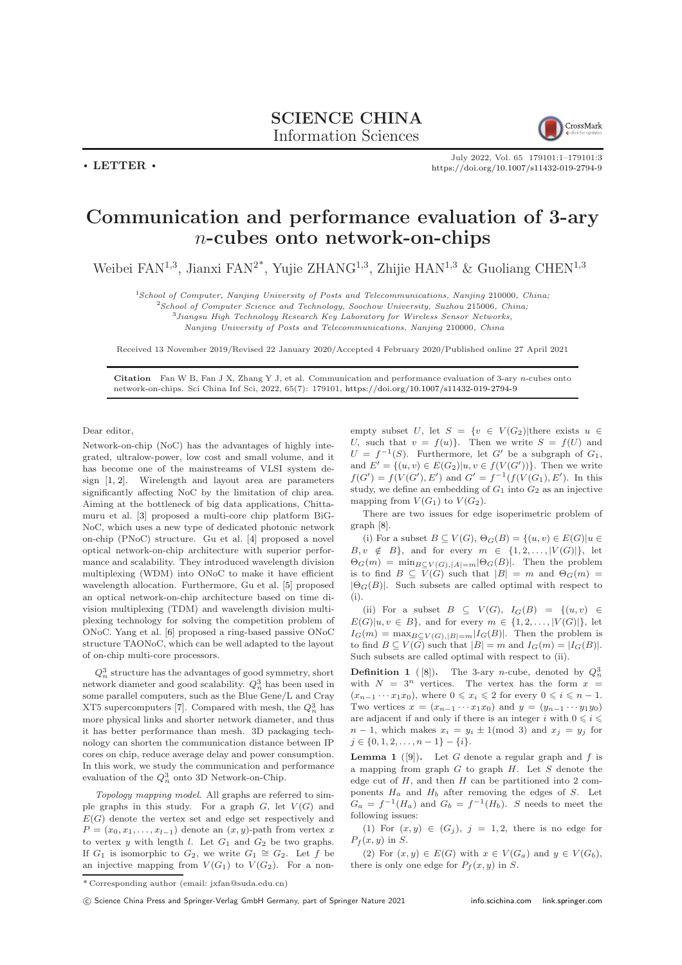$\cdot$  LETTER  $\cdot$ 

CrossMark

July 2022, Vol. 65 179101:1–179101[:3](#page-2-0) <https://doi.org/10.1007/s11432-019-2794-9>

## Communication and performance evaluation of 3-ary n-cubes onto network-on-chips

Weibei FAN<sup>1,3</sup>, Jianxi FAN<sup>2\*</sup>, Yujie ZHANG<sup>1,3</sup>, Zhijie HAN<sup>1,3</sup> & Guoliang CHEN<sup>1,3</sup>

<sup>1</sup>School of Computer, Nanjing University of Posts and Telecommunications, Nanjing 210000, China;

<sup>2</sup>School of Computer Science and Technology, Soochow University, Suzhou 215006, China;

<sup>3</sup>Jiangsu High Technology Research Key Laboratory for Wireless Sensor Networks,

Nanjing University of Posts and Telecommunications, Nanjing 210000, China

Received 13 November 2019/Revised 22 January 2020/Accepted 4 February 2020/Published online 27 April 2021

Citation Fan W B, Fan J X, Zhang Y J, et al. Communication and performance evaluation of 3-ary n-cubes onto network-on-chips. Sci China Inf Sci, 2022, 65(7): 179101, <https://doi.org/10.1007/s11432-019-2794-9>

Dear editor,

Network-on-chip (NoC) has the advantages of highly integrated, ultralow-power, low cost and small volume, and it has become one of the mainstreams of VLSI system design [\[1,](#page-2-1) [2\]](#page-2-2). Wirelength and layout area are parameters significantly affecting NoC by the limitation of chip area. Aiming at the bottleneck of big data applications, Chittamuru et al. [\[3\]](#page-2-3) proposed a multi-core chip platform BiG-NoC, which uses a new type of dedicated photonic network on-chip (PNoC) structure. Gu et al. [\[4\]](#page-2-4) proposed a novel optical network-on-chip architecture with superior performance and scalability. They introduced wavelength division multiplexing (WDM) into ONoC to make it have efficient wavelength allocation. Furthermore, Gu et al. [\[5\]](#page-2-5) proposed an optical network-on-chip architecture based on time division multiplexing (TDM) and wavelength division multiplexing technology for solving the competition problem of ONoC. Yang et al. [\[6\]](#page-2-6) proposed a ring-based passive ONoC structure TAONoC, which can be well adapted to the layout of on-chip multi-core processors.

 ${\cal Q}^3_n$  structure has the advantages of good symmetry, short network diameter and good scalability.  $Q_n^3$  has been used in some parallel computers, such as the Blue Gene/L and Cray XT5 supercomputers [\[7\]](#page-2-7). Compared with mesh, the  $Q_n^3$  has more physical links and shorter network diameter, and thus it has better performance than mesh. 3D packaging technology can shorten the communication distance between IP cores on chip, reduce average delay and power consumption. In this work, we study the communication and performance evaluation of the  $Q_n^3$  onto 3D Network-on-Chip.

Topology mapping model. All graphs are referred to simple graphs in this study. For a graph  $G$ , let  $V(G)$  and  $E(G)$  denote the vertex set and edge set respectively and  $P = (x_0, x_1, \ldots, x_{l-1})$  denote an  $(x, y)$ -path from vertex x to vertex  $y$  with length  $l$ . Let  $G_1$  and  $G_2$  be two graphs. If  $G_1$  is isomorphic to  $G_2$ , we write  $G_1 \cong G_2$ . Let f be an injective mapping from  $V(G_1)$  to  $V(G_2)$ . For a nonempty subset U, let  $S = \{v \in V(G_2)|\text{there exists } u \in$ U, such that  $v = f(u)$ . Then we write  $S = f(U)$  and  $U = f^{-1}(S)$ . Furthermore, let G' be a subgraph of  $G_1$ , and  $E' = \{(u, v) \in E(G_2) | u, v \in f(V(G'))\}$ . Then we write  $f(G') = f(V(G'), E')$  and  $G' = f^{-1}(f(V(G_1), E')$ . In this study, we define an embedding of  $G_1$  into  $G_2$  as an injective mapping from  $V(G_1)$  to  $V(G_2)$ .

There are two issues for edge isoperimetric problem of graph [\[8\]](#page-2-8).

(i) For a subset  $B \subseteq V(G)$ ,  $\Theta_G(B) = \{(u, v) \in E(G) | u \in$  $B, v \notin B$ , and for every  $m \in \{1, 2, \ldots, |V(G)|\}$ , let  $\Theta_G(m) = \min_{B \subseteq V(G), |A| = m} |\Theta_G(B)|$ . Then the problem is to find  $B \subseteq \overline{V}(G)$  such that  $|B| = m$  and  $\Theta_G(m) =$  $|\Theta_G(B)|$ . Such subsets are called optimal with respect to (i).

(ii) For a subset  $B \subseteq V(G)$ ,  $I_G(B) = \{(u, v) \in$  $E(G)|u, v \in B\}$ , and for every  $m \in \{1, 2, ..., |V(G)|\}$ , let  $I_G(m) = \max_{B \subseteq V(G), |B|=m} |I_G(B)|$ . Then the problem is to find  $B \subseteq V(G)$  such that  $|B| = m$  and  $I_G(m) = |I_G(B)|$ . Such subsets are called optimal with respect to (ii).

<span id="page-0-0"></span>**Definition 1** ([8]). The 3-ary *n*-cube, denoted by  $Q_n^3$ with  $N = 3^n$  vertices. The vertex has the form  $x =$  $(x_{n-1} \cdots x_1 x_0)$ , where  $0 \leq x_i \leq 2$  for every  $0 \leq i \leq n-1$ . Two vertices  $x = (x_{n-1} \cdots x_1 x_0)$  and  $y = (y_{n-1} \cdots y_1 y_0)$ are adjacent if and only if there is an integer  $i$  with  $0\leqslant i\leqslant$  $n-1$ , which makes  $x_i = y_i \pm 1 \pmod{3}$  and  $x_j = y_j$  for  $j \in \{0, 1, 2, \ldots, n-1\} - \{i\}.$ 

**Lemma 1** ([\[9\]](#page-2-9)). Let G denote a regular graph and f is a mapping from graph  $G$  to graph  $H$ . Let  $S$  denote the edge cut of  $H$ , and then  $H$  can be partitioned into 2 components  $H_a$  and  $H_b$  after removing the edges of S. Let  $G_a = f^{-1}(H_a)$  and  $G_b = f^{-1}(H_b)$ . S needs to meet the following issues:

(1) For  $(x, y) \in (G_j)$ ,  $j = 1, 2$ , there is no edge for  $P_f(x, y)$  in S.

(2) For  $(x, y) \in E(G)$  with  $x \in V(G_a)$  and  $y \in V(G_b)$ , there is only one edge for  $P_f(x, y)$  in S.

<sup>\*</sup> Corresponding author (email: jxfan@suda.edu.cn)

<sup>(</sup>C) Science China Press and Springer-Verlag GmbH Germany, part of Springer Nature 2021 <info.scichina.com><link.springer.com>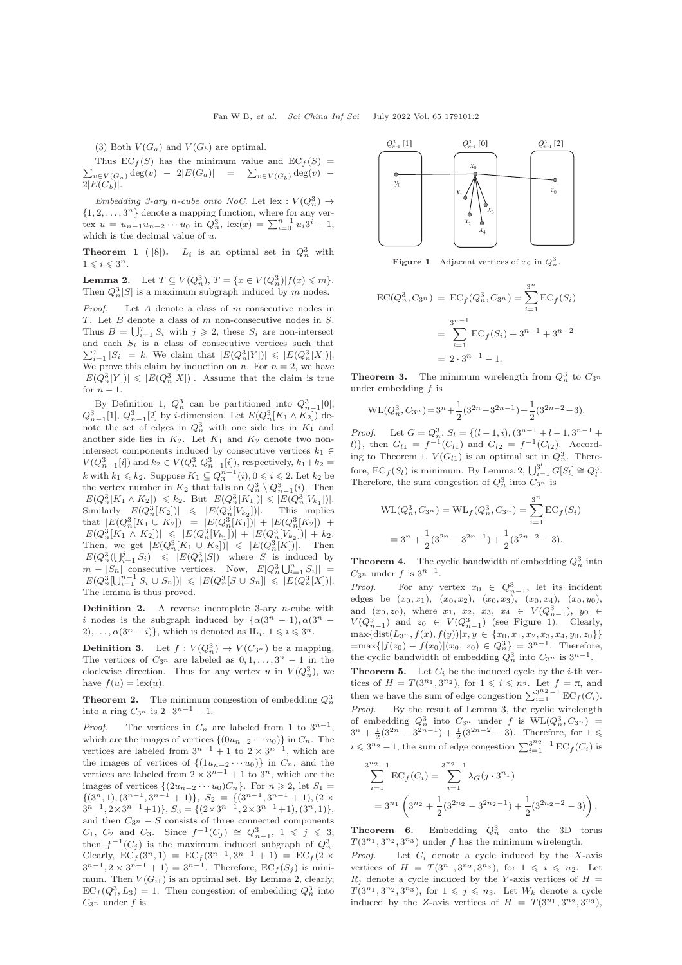(3) Both  $V(G_a)$  and  $V(G_b)$  are optimal.

 $\sum_{v \in V(G_a)} \deg(v) - 2|E(G_a)| = \sum_{v \in V(G_b)} \deg(v) -$ Thus  $EC_f(S)$  has the minimum value and  $EC_f(S)$  =  $2|E(G_b)|.$ 

Embedding 3-ary n-cube onto NoC. Let  $lex: V(Q_n^3) \to$  $\{1, 2, \ldots, 3^n\}$  denote a mapping function, where for any vertex  $u = u_{n-1}u_{n-2}\cdots u_0$  in  $Q_n^3$ ,  $\operatorname{lex}(x) = \sum_{i=0}^{n-1} u_i 3^i + 1$ , which is the decimal value of  $u$ .

<span id="page-1-1"></span>**Theorem 1** ([8]).  $L_i$  is an optimal set in  $Q_n^3$  with  $1 \leqslant i \leqslant 3^n$ .

<span id="page-1-0"></span>**Lemma 2.** Let  $T \subseteq V(Q_n^3), T = \{x \in V(Q_n^3)|f(x) \leq m\}.$ Then  $Q_n^3[S]$  is a maximum subgraph induced by m nodes.

Proof. Let A denote a class of m consecutive nodes in T. Let  $B$  denote a class of  $m$  non-consecutive nodes in  $S$ . Thus  $B = \bigcup_{i=1}^{j} S_i$  with  $j \geq 2$ , these  $S_i$  are non-intersect and each  $S_i$  is a class of consecutive vertices such that  $\sum_{i=1}^{j} |S_i| = k$ . We claim that  $|E(Q_n^3[Y])| \leq |E(Q_n^3[X])|$ . We prove this claim by induction on n. For  $n = 2$ , we have  $|E(Q_n^3[Y])| \leq |E(Q_n^3[X])|$ . Assume that the claim is true for  $n-1$ .

By Definition [1,](#page-0-0)  $Q_n^3$  can be partitioned into  $Q_{n-1}^3[0]$ ,  $Q_{n-1}^3[1], Q_{n-1}^3[2]$  by *i*-dimension. Let  $E(Q_n^3[K_1 \wedge K_2])$  denote the set of edges in  $Q_n^3$  with one side lies in  $K_1$  and another side lies in  $K_2$ . Let  $K_1$  and  $K_2$  denote two nonintersect components induced by consecutive vertices  $k_1$   $\in$  $V(Q_{n-1}^3[i])$  and  $k_2 \in V(Q_n^3 \ Q_{n-1}^3[i])$ , respectively,  $k_1 + k_2 =$ k with  $k_1 \leq k_2$ . Suppose  $K_1 \subseteq Q_3^{n-1}(i)$ ,  $0 \leq i \leq 2$ . Let  $k_2$  be the vertex number in  $K_2$  that falls on  $Q_n^3 \setminus Q_{n-1}^3(i)$ . Then  $|E(Q_n^3[K_1 \wedge K_2])| \leq k_2$ . But  $|E(Q_n^3[K_1])| \leq |E(Q_n^3[V_{k_1}])|$ . Similarly  $|E(Q_n^3[K_2])| \leq |E(Q_n^3[V_{k_2}])|$ This implies that  $|E(Q_n^3[K_1 \cup K_2])| = |E(Q_n^3[K_1])| + |E(Q_n^3[K_2])| +$  $|E(Q_n^3[K_1 \wedge K_2])| \leq |E(Q_n^3[V_{k_1}])| + |E(Q_n^3[V_{k_2}])| + k_2.$ Then, we get  $|E(Q_n^3[K_1 \cup K_2])| \leq |E(Q_n^3[K])|$ . Then  $|E(Q_n^3(\bigcup_{i=1}^j S_i))| \leq |E(Q_n^3[S])|$  where S is induced by  $m - |S_n|$  consecutive vertices. Now,  $|E[Q_n^3 \bigcup_{i=1}^n S_i]|$  =  $|E(Q_n^3[\bigcup_{i=1}^{n-1} S_i \cup S_n])| \leq |E(Q_n^3[S \cup S_n]| \leq |E(Q_n^3[X])|.$ The lemma is thus proved.

**Definition 2.** A reverse incomplete 3-ary *n*-cube with i nodes is the subgraph induced by  $\{\alpha(3^n - 1), \alpha(3^n (2), \ldots, \alpha(3^n - i)$ , which is denoted as  $\text{IL}_i, 1 \leq i \leq 3^n$ .

**Definition 3.** Let  $f: V(Q_n^3) \to V(C_{3^n})$  be a mapping. The vertices of  $C_{3^n}$  are labeled as  $0, 1, \ldots, 3^n - 1$  in the clockwise direction. Thus for any vertex u in  $V(Q_n^3)$ , we have  $f(u) = \text{lex}(u)$ .

**Theorem 2.** The minimum congestion of embedding  $Q_n^3$ into a ring  $C_{3^n}$  is  $2 \cdot 3^{n-1} - 1$ .

*Proof.* The vertices in  $C_n$  are labeled from 1 to  $3^{n-1}$ , which are the images of vertices  $\{(0u_{n-2}\cdots u_0)\}\$ in  $C_n$ . The vertices are labeled from  $3^{n-1} + 1$  to  $2 \times 3^{n-1}$ , which are the images of vertices of  $\{(1u_{n-2}\cdots u_0)\}\$ in  $C_n$ , and the vertices are labeled from  $2 \times 3^{n-1} + 1$  to  $3^n$ , which are the images of vertices  $\{(2u_{n-2}\cdots u_0)C_n\}$ . For  $n \geq 2$ , let  $S_1 =$  $\{(3^n,1),(3^{n-1},3^{n-1}+1)\}, S_2 = \{(3^{n-1},3^{n-1}+1),(2 \times$  $3^{n-1}, 2 \times 3^{n-1} + 1$ ,  $S_3 = \{ (2 \times 3^{n-1}, 2 \times 3^{n-1} + 1), (3^n, 1) \},$ and then  $C_{3^n}$  – S consists of three connected components  $C_1, C_2 \text{ and } C_3.$  Since  $f^{-1}(C_j) \cong Q_{n-1}^3, 1 \leqslant j \leqslant 3,$ then  $f^{-1}(C_j)$  is the maximum induced subgraph of  $Q_n^3$ . Clearly,  $EC_f(3^n, 1) = EC_f(3^{n-1}, 3^{n-1} + 1) = EC_f(2 \times$  $3^{n-1}, 2 \times 3^{n-1} + 1) = 3^{n-1}$ . Therefore,  $EC_f(S_j)$  is minimum. Then  $V(G_{i1})$  is an optimal set. By Lemma [2,](#page-1-0) clearly,  $EC_f(Q_1^3, L_3) = 1$ . Then congestion of embedding  $Q_n^3$  into  $C_{3^n}$  under f is

<span id="page-1-2"></span>

**Figure 1** Adjacent vertices of  $x_0$  in  $Q_n^3$ .

$$
EC(Q_n^3, C_{3^n}) = EC_f(Q_n^3, C_{3^n}) = \sum_{i=1}^{3^n} EC_f(S_i)
$$

$$
= \sum_{i=1}^{3^{n-1}} EC_f(S_i) + 3^{n-1} + 3^{n-2}
$$

$$
= 2 \cdot 3^{n-1} - 1.
$$

<span id="page-1-3"></span>**Theorem 3.** The minimum wirelength from  $Q_n^3$  to  $C_{3^n}$ under embedding  $f$  is

$$
\mathrm{WL}(Q_n^3,C_{3^n})\!=\!3^n\!+\!\frac{1}{2}(3^{2n}\!-\!3^{2n-1})\!+\!\frac{1}{2}(3^{2n-2}\!-\!3).
$$

*Proof.* Let  $G = Q_n^3$ ,  $S_l = \{(l-1, i), (3^{n-1}+l-1, 3^{n-1}+1)\}$ l)}, then  $G_{l1} = f^{-1}(C_{l1})$  and  $G_{l2} = f^{-1}(C_{l2})$ . Accord-ing to Theorem [1,](#page-1-1)  $V(G_{l1})$  is an optimal set in  $Q_n^3$ . Therefore,  $EC_f(S_l)$  is minimum. By Lemma [2,](#page-1-0)  $\bigcup_{i=1}^{3^l} G[S_l] \cong Q_l^3$ . Therefore, the sum congestion of  $Q_n^3$  into  $C_{3^n}$  is

$$
WL(Q_n^3, C_{3^n}) = WL_f(Q_n^3, C_{3^n}) = \sum_{i=1}^{3^n} EC_f(S_i)
$$
  
=  $3^n + \frac{1}{2}(3^{2n} - 3^{2n-1}) + \frac{1}{2}(3^{2n-2} - 3).$ 

**Theorem 4.** The cyclic bandwidth of embedding  $Q_n^3$  into  $C_{3^n}$  under f is  $3^{n-1}$ .

*Proof.* For any vertex  $x_0 \in Q_{n-1}^3$ , let its incident edges be  $(x_0, x_1)$ ,  $(x_0, x_2)$ ,  $(x_0, x_3)$ ,  $(x_0, x_4)$ ,  $(x_0, y_0)$ , and  $(x_0, z_0)$ , where  $x_1, x_2, x_3, x_4 \in V(Q_{n-1}^3), y_0 \in$  $V(Q_{n-1}^3)$  and  $z_0 \in V(Q_{n-1}^3)$  (see Figure [1\)](#page-1-2). Clearly,  $\max{\{\text{dist}(L_{3^n}, f(x), f(y)) | x, y \in \{x_0, x_1, x_2, x_3, x_4, y_0, z_0\}\}}$  $=\max\{|f(z_0) - f(x_0)| (x_0, z_0) \in Q_n^3\} = 3^{n-1}$ . Therefore, the cyclic bandwidth of embedding  $Q_n^3$  into  $C_{3^n}$  is  $3^{n-1}$ .

**Theorem 5.** Let  $C_i$  be the induced cycle by the *i*-th vertices of  $H = T(3^{n_1}, 3^{n_2})$ , for  $1 \leqslant i \leqslant n_2$ . Let  $f = \pi$ , and then we have the sum of edge congestion  $\sum_{i=1}^{3^{n_{2}}-1} \text{EC}_{f}(C_{i}).$ Proof. By the result of Lemma [3,](#page-1-3) the cyclic wirelength of embedding  $Q_n^3$  into  $C_{3^n}$  under f is  $\text{WL}(Q_n^3, C_{3^n})$  =  $3^{n} + \frac{1}{2}(3^{2n} - 3^{2n-1}) + \frac{1}{2}(3^{2n-2} - 3)$ . Therefore, for  $1 \leq$  $i \leqslant 3^{n_2} - 1$ , the sum of edge congestion  $\sum_{i=1}^{3^{n_2}-1} \text{EC}_f(C_i)$  is

$$
\sum_{i=1}^{3^{n_2}-1} \operatorname{EC}_f(C_i) = \sum_{i=1}^{3^{n_2}-1} \lambda_G(j \cdot 3^{n_1})
$$
  
=  $3^{n_1} \left( 3^{n_2} + \frac{1}{2} (3^{2n_2} - 3^{2n_2 - 1}) + \frac{1}{2} (3^{2n_2 - 2} - 3) \right).$ 

**Theorem 6.** Embedding  $Q_n^3$  onto the 3D torus  $T(3^{n_1}, 3^{n_2}, 3^{n_3})$  under f has the minimum wirelength.

*Proof.* Let  $C_i$  denote a cycle induced by the X-axis vertices of  $H = T(3^{n_1}, 3^{n_2}, 3^{n_3})$ , for  $1 \leq i \leq n_2$ . Let  $R_i$  denote a cycle induced by the Y-axis vertices of  $H =$  $T(3^{n_1}, 3^{n_2}, 3^{n_3})$ , for  $1 \leqslant j \leqslant n_3$ . Let  $W_k$  denote a cycle induced by the Z-axis vertices of  $H = T(3^{n_1}, 3^{n_2}, 3^{n_3}),$